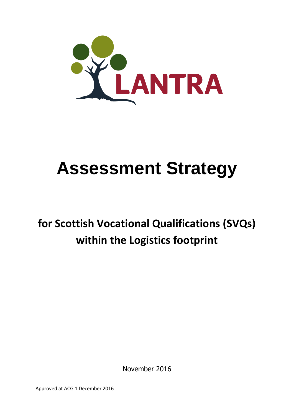

# **Assessment Strategy**

# **for Scottish Vocational Qualifications (SVQs) within the Logistics footprint**

November 2016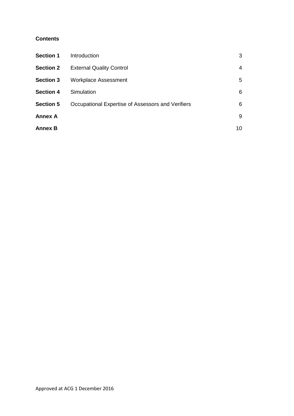# **Contents**

| <b>Section 1</b> | Introduction                                      | 3  |
|------------------|---------------------------------------------------|----|
| <b>Section 2</b> | <b>External Quality Control</b>                   | 4  |
| <b>Section 3</b> | <b>Workplace Assessment</b>                       | 5  |
| <b>Section 4</b> | Simulation                                        | 6  |
| <b>Section 5</b> | Occupational Expertise of Assessors and Verifiers | 6  |
| <b>Annex A</b>   |                                                   | 9  |
| <b>Annex B</b>   |                                                   | 10 |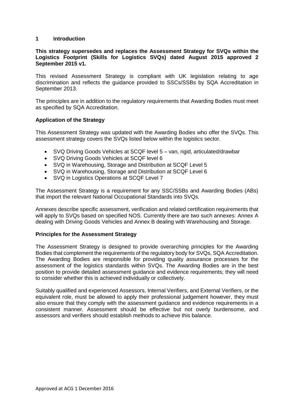# **1 Introduction**

### **This strategy supersedes and replaces the Assessment Strategy for SVQs within the Logistics Footprint (Skills for Logistics SVQs) dated August 2015 approved 2 September 2015 v1.**

This revised Assessment Strategy is compliant with UK legislation relating to age discrimination and reflects the guidance provided to SSCs/SSBs by SQA Accreditation in September 2013.

The principles are in addition to the regulatory requirements that Awarding Bodies must meet as specified by SQA Accreditation.

## **Application of the Strategy**

This Assessment Strategy was updated with the Awarding Bodies who offer the SVQs. This assessment strategy covers the SVQs listed below within the logistics sector.

- SVQ Driving Goods Vehicles at SCQF level 5 van, rigid, articulated/drawbar
- SVQ Driving Goods Vehicles at SCQF level 6
- SVQ in Warehousing, Storage and Distribution at SCQF Level 5
- SVQ in Warehousing, Storage and Distribution at SCQF Level 6
- SVQ in Logistics Operations at SCQF Level 7

The Assessment Strategy is a requirement for any SSC/SSBs and Awarding Bodies (ABs) that import the relevant National Occupational Standards into SVQs.

Annexes describe specific assessment, verification and related certification requirements that will apply to SVQs based on specified NOS. Currently there are two such annexes: Annex A dealing with Driving Goods Vehicles and Annex B dealing with Warehousing and Storage.

#### **Principles for the Assessment Strategy**

The Assessment Strategy is designed to provide overarching principles for the Awarding Bodies that complement the requirements of the regulatory body for SVQs, SQA Accreditation. The Awarding Bodies are responsible for providing quality assurance processes for the assessment of the logistics standards within SVQs. The Awarding Bodies are in the best position to provide detailed assessment guidance and evidence requirements; they will need to consider whether this is achieved individually or collectively.

Suitably qualified and experienced Assessors, Internal Verifiers, and External Verifiers, or the equivalent role, must be allowed to apply their professional judgement however, they must also ensure that they comply with the assessment guidance and evidence requirements in a consistent manner. Assessment should be effective but not overly burdensome, and assessors and verifiers should establish methods to achieve this balance.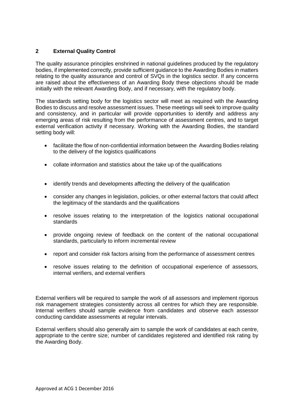# **2 External Quality Control**

The quality assurance principles enshrined in national guidelines produced by the regulatory bodies, if implemented correctly, provide sufficient guidance to the Awarding Bodies in matters relating to the quality assurance and control of SVQs in the logistics sector. If any concerns are raised about the effectiveness of an Awarding Body these objections should be made initially with the relevant Awarding Body, and if necessary, with the regulatory body.

The standards setting body for the logistics sector will meet as required with the Awarding Bodies to discuss and resolve assessment issues. These meetings will seek to improve quality and consistency, and in particular will provide opportunities to identify and address any emerging areas of risk resulting from the performance of assessment centres, and to target external verification activity if necessary. Working with the Awarding Bodies, the standard setting body will:

- facilitate the flow of non-confidential information between the Awarding Bodies relating to the delivery of the logistics qualifications
- collate information and statistics about the take up of the qualifications
- identify trends and developments affecting the delivery of the qualification
- consider any changes in legislation, policies, or other external factors that could affect the legitimacy of the standards and the qualifications
- resolve issues relating to the interpretation of the logistics national occupational standards
- provide ongoing review of feedback on the content of the national occupational standards, particularly to inform incremental review
- report and consider risk factors arising from the performance of assessment centres
- resolve issues relating to the definition of occupational experience of assessors, internal verifiers, and external verifiers

External verifiers will be required to sample the work of all assessors and implement rigorous risk management strategies consistently across all centres for which they are responsible. Internal verifiers should sample evidence from candidates and observe each assessor conducting candidate assessments at regular intervals.

External verifiers should also generally aim to sample the work of candidates at each centre, appropriate to the centre size; number of candidates registered and identified risk rating by the Awarding Body.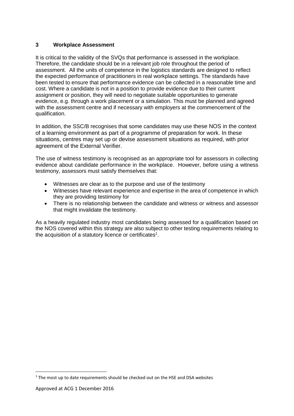# **3 Workplace Assessment**

It is critical to the validity of the SVQs that performance is assessed in the workplace. Therefore, the candidate should be in a relevant job role throughout the period of assessment. All the units of competence in the logistics standards are designed to reflect the expected performance of practitioners in real workplace settings. The standards have been tested to ensure that performance evidence can be collected in a reasonable time and cost. Where a candidate is not in a position to provide evidence due to their current assignment or position, they will need to negotiate suitable opportunities to generate evidence, e.g. through a work placement or a simulation. This must be planned and agreed with the assessment centre and if necessary with employers at the commencement of the qualification.

In addition, the SSC/B recognises that some candidates may use these NOS in the context of a learning environment as part of a programme of preparation for work. In these situations, centres may set up or devise assessment situations as required, with prior agreement of the External Verifier.

The use of witness testimony is recognised as an appropriate tool for assessors in collecting evidence about candidate performance in the workplace. However, before using a witness testimony, assessors must satisfy themselves that:

- Witnesses are clear as to the purpose and use of the testimony
- Witnesses have relevant experience and expertise in the area of competence in which they are providing testimony for
- There is no relationship between the candidate and witness or witness and assessor that might invalidate the testimony.

As a heavily regulated industry most candidates being assessed for a qualification based on the NOS covered within this strategy are also subject to other testing requirements relating to the acquisition of a statutory licence or certificates<sup>1</sup>.

**.** 

 $1$  The most up to date requirements should be checked out on the HSE and DSA websites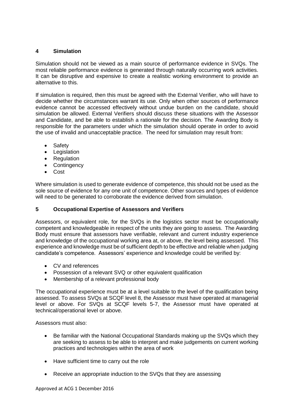# **4 Simulation**

Simulation should not be viewed as a main source of performance evidence in SVQs. The most reliable performance evidence is generated through naturally occurring work activities. It can be disruptive and expensive to create a realistic working environment to provide an alternative to this.

If simulation is required, then this must be agreed with the External Verifier, who will have to decide whether the circumstances warrant its use. Only when other sources of performance evidence cannot be accessed effectively without undue burden on the candidate, should simulation be allowed. External Verifiers should discuss these situations with the Assessor and Candidate, and be able to establish a rationale for the decision. The Awarding Body is responsible for the parameters under which the simulation should operate in order to avoid the use of invalid and unacceptable practice. The need for simulation may result from:

- Safety
- Legislation
- Regulation
- Contingency
- Cost

Where simulation is used to generate evidence of competence, this should not be used as the sole source of evidence for any one unit of competence. Other sources and types of evidence will need to be generated to corroborate the evidence derived from simulation.

# **5 Occupational Expertise of Assessors and Verifiers**

Assessors, or equivalent role, for the SVQs in the logistics sector must be occupationally competent and knowledgeable in respect of the units they are going to assess. The Awarding Body must ensure that assessors have verifiable, relevant and current industry experience and knowledge of the occupational working area at, or above, the level being assessed. This experience and knowledge must be of sufficient depth to be effective and reliable when judging candidate's competence. Assessors' experience and knowledge could be verified by:

- CV and references
- Possession of a relevant SVQ or other equivalent qualification
- Membership of a relevant professional body

The occupational experience must be at a level suitable to the level of the qualification being assessed. To assess SVQs at SCQF level 8, the Assessor must have operated at managerial level or above. For SVQs at SCQF levels 5-7, the Assessor must have operated at technical/operational level or above.

Assessors must also:

- Be familiar with the National Occupational Standards making up the SVQs which they are seeking to assess to be able to interpret and make judgements on current working practices and technologies within the area of work
- Have sufficient time to carry out the role
- Receive an appropriate induction to the SVQs that they are assessing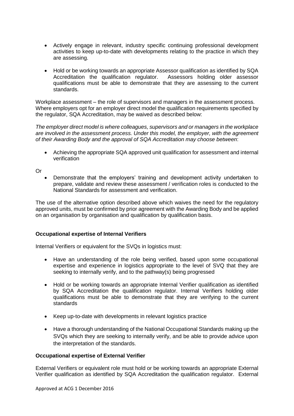- Actively engage in relevant, industry specific continuing professional development activities to keep up-to-date with developments relating to the practice in which they are assessing.
- Hold or be working towards an appropriate Assessor qualification as identified by SQA Accreditation the qualification regulator. Assessors holding older assessor qualifications must be able to demonstrate that they are assessing to the current standards.

Workplace assessment – the role of supervisors and managers in the assessment process. Where employers opt for an employer direct model the qualification requirements specified by the regulator, SQA Accreditation, may be waived as described below:

*The employer direct model is where colleagues, supervisors and or managers in the workplace are involved in the assessment process. Under this model, the employer, with the agreement of their Awarding Body and the approval of SQA Accreditation may choose between*:

 Achieving the appropriate SQA approved unit qualification for assessment and internal verification

Or

 Demonstrate that the employers' training and development activity undertaken to prepare, validate and review these assessment / verification roles is conducted to the National Standards for assessment and verification.

The use of the alternative option described above which waives the need for the regulatory approved units, must be confirmed by prior agreement with the Awarding Body and be applied on an organisation by organisation and qualification by qualification basis.

# **Occupational expertise of Internal Verifiers**

Internal Verifiers or equivalent for the SVQs in logistics must:

- Have an understanding of the role being verified, based upon some occupational expertise and experience in logistics appropriate to the level of SVQ that they are seeking to internally verify, and to the pathway(s) being progressed
- Hold or be working towards an appropriate Internal Verifier qualification as identified by SQA Accreditation the qualification regulator. Internal Verifiers holding older qualifications must be able to demonstrate that they are verifying to the current standards
- Keep up-to-date with developments in relevant logistics practice
- Have a thorough understanding of the National Occupational Standards making up the SVQs which they are seeking to internally verify, and be able to provide advice upon the interpretation of the standards.

# **Occupational expertise of External Verifier**

External Verifiers or equivalent role must hold or be working towards an appropriate External Verifier qualification as identified by SQA Accreditation the qualification regulator. External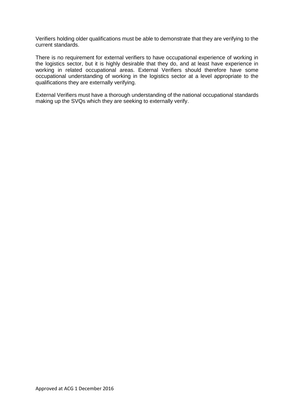Verifiers holding older qualifications must be able to demonstrate that they are verifying to the current standards.

There is no requirement for external verifiers to have occupational experience of working in the logistics sector, but it is highly desirable that they do, and at least have experience in working in related occupational areas. External Verifiers should therefore have some occupational understanding of working in the logistics sector at a level appropriate to the qualifications they are externally verifying.

External Verifiers must have a thorough understanding of the national occupational standards making up the SVQs which they are seeking to externally verify.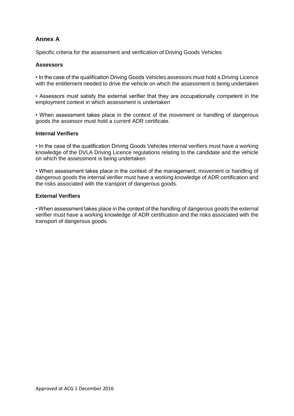# **Annex A**

Specific criteria for the assessment and verification of Driving Goods Vehicles

# **Assessors**

• In the case of the qualification Driving Goods Vehicles assessors must hold a Driving Licence with the entitlement needed to drive the vehicle on which the assessment is being undertaken

• Assessors must satisfy the external verifier that they are occupationally competent in the employment context in which assessment is undertaken

• When assessment takes place in the context of the movement or handling of dangerous goods the assessor must hold a current ADR certificate.

#### **Internal Verifiers**

• In the case of the qualification Driving Goods Vehicles internal verifiers must have a working knowledge of the DVLA Driving Licence regulations relating to the candidate and the vehicle on which the assessment is being undertaken

• When assessment takes place in the context of the management, movement or handling of dangerous goods the internal verifier must have a working knowledge of ADR certification and the risks associated with the transport of dangerous goods.

## **External Verifiers**

• When assessment takes place in the context of the handling of dangerous goods the external verifier must have a working knowledge of ADR certification and the risks associated with the transport of dangerous goods.